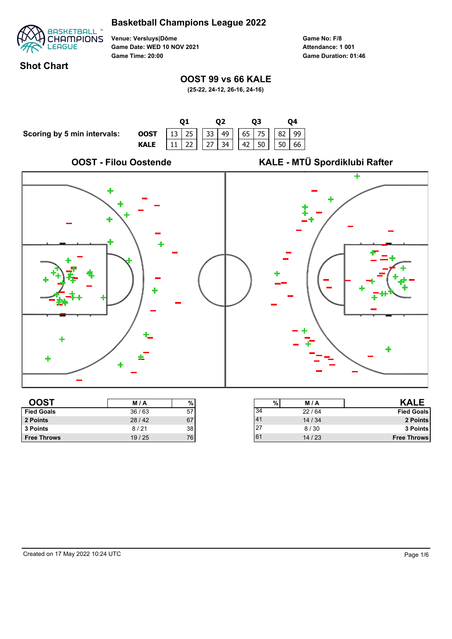

**Venue: Versluys|Dôme Game Date: WED 10 NOV 2021 Game Time: 20:00**

**Game No: F/8 Game Duration: 01:46 Attendance: 1 001**

#### **Shot Chart**

### **OOST 99 vs 66 KALE**

**(25-22, 24-12, 26-16, 24-16)**



| 2 Points           | 28/42 | 67  |        | 14/34 |
|--------------------|-------|-----|--------|-------|
| 3 Points           | 8/21  | 38  | $\sim$ | 8/30  |
| <b>Free Throws</b> | 19/25 | 76. |        | 14/23 |
|                    |       |     |        |       |

41 14 / 34 **2 Points** 27 8 / 30 **3 Points** 61 14 / 23 **Free Throws**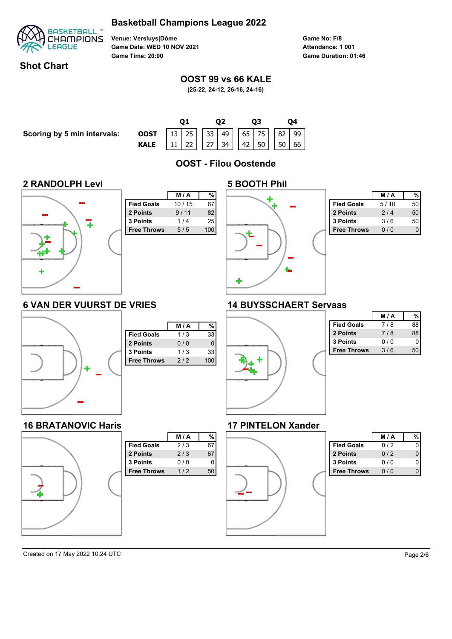

**Venue: Versluys|Dôme Game Date: WED 10 NOV 2021 Game Time: 20:00**

**Game No: F/8 Game Duration: 01:46 Attendance: 1 001**

### **Shot Chart**

#### **OOST 99 vs 66 KALE**

**(25-22, 24-12, 26-16, 24-16)**

**Q1 Q2 Q3 Q4 Scoring by 5 min intervals: OOST** | 13 | 25 | | 33 | 49 | | 65 | 75 | | 82 | 99 **KALE** | 11 | 22 | | 27 | 34 | | 42 | 50 | | 50 | 66 **OOST - Filou Oostende 2 RANDOLPH Levi 5 BOOTH Phil M / A % M / A % Fied Goals** 10 / 15 67 **Fied Goals** 5/10 50 **2 Points** 9/11 82  **2 Points** 2 / 4 50  **3 Points** 1 / 4 25  **3 Points** 3 / 6 50 **Free Throws** 5/5 100 **Free Throws** 0/0 0 4 **6 VAN DER VUURST DE VRIES 14 BUYSSCHAERT Servaas M / A % Keye Fied Goals** 7/8 88 **M / A % 2 Points** 7 / 8 88 **Fied Goals**  $1/3$  33 **3 Points** 0 / 0 0 **2 Points** 0/0 0 **Free Throws** 3/6 50 **3 Points** 1/3 33 **Free Throws** 2/2 100 **16 BRATANOVIC Haris 17 PINTELON Xander M / A % M / A % Fied Goals**  $2/3$  67 **Fied Goals**  $0/2$  0  **2 Points** 2 / 3 67 **2 Points** 0/2 0 **3 Points** 0/0 0 **3 Points** 0/0 0 **Free Throws** 1/2 50 **Free Throws** 0/0 0 Created on 17 May 2022 10:24 UTC Page 2/6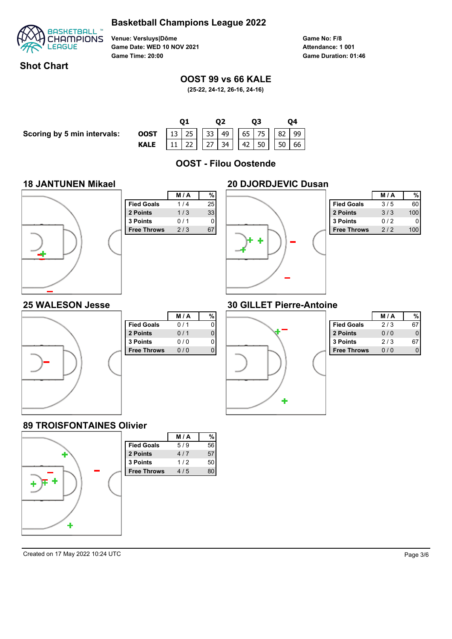

**Venue: Versluys|Dôme Game Date: WED 10 NOV 2021 Game Time: 20:00**

**Game No: F/8 Game Duration: 01:46 Attendance: 1 001**

### **Shot Chart**

### **OOST 99 vs 66 KALE**

**(25-22, 24-12, 26-16, 24-16)**

**Scoring by 5 min intervals:** 

|                                                                            |  |  | 02 |  | 03 |  |  | Ο4 |  |  |  |
|----------------------------------------------------------------------------|--|--|----|--|----|--|--|----|--|--|--|
| <b>OOST</b> 13 25 33 49 65 75 82 99<br><b>KALE</b> 11 22 27 34 42 50 50 66 |  |  |    |  |    |  |  |    |  |  |  |
|                                                                            |  |  |    |  |    |  |  |    |  |  |  |

**OOST - Filou Oostende**

#### **18 JANTUNEN Mikael**



| %<br>25<br>33 |
|---------------|
|               |
|               |
|               |
|               |
| 67            |
|               |
|               |
|               |
|               |
|               |
|               |
|               |



|                    | <b>M/A</b> |     |
|--------------------|------------|-----|
| <b>Fied Goals</b>  | 3/5        | 60  |
| 2 Points           | 3/3        | 100 |
| 3 Points           | 012        |     |
| <b>Free Throws</b> | 2/2        |     |

#### **25 WALESON Jesse**



|                    | M/A | % |
|--------------------|-----|---|
| <b>Fied Goals</b>  | 0/1 | 0 |
| 2 Points           | 0/1 | 0 |
| 3 Points           | 0/0 | 0 |
| <b>Free Throws</b> | 0/0 |   |
|                    |     |   |
|                    |     |   |
|                    |     |   |
|                    |     |   |
|                    |     |   |
|                    |     |   |

## **30 GILLET Pierre-Antoine**



|                    | M / A |  |
|--------------------|-------|--|
| <b>Fied Goals</b>  | 2/3   |  |
| 2 Points           | 0/0   |  |
| 3 Points           | 2/3   |  |
| <b>Free Throws</b> | 0 / 0 |  |

#### **89 TROISFONTAINES Olivier**

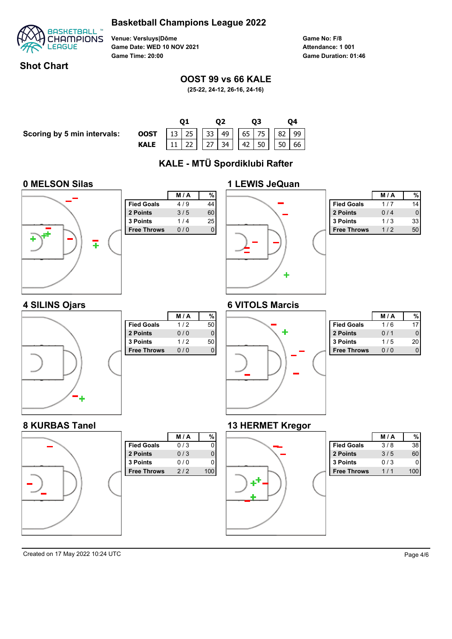

**Venue: Versluys|Dôme Game Date: WED 10 NOV 2021 Game Time: 20:00**

**Game No: F/8 Game Duration: 01:46 Attendance: 1 001**

### **Shot Chart**

### **OOST 99 vs 66 KALE**

**(25-22, 24-12, 26-16, 24-16)**

**Scoring by 5 min intervals:** 

|                                                                                                                                                                               |  |  | 02 |  | 03 |  |  |  |  |  |
|-------------------------------------------------------------------------------------------------------------------------------------------------------------------------------|--|--|----|--|----|--|--|--|--|--|
| <b>OOST</b> $\begin{array}{ c c c c c c c c } \hline 13 & 25 & 33 & 49 & 65 & 75 & 82 & 99 \ \hline \text{KALE} & 11 & 22 & 27 & 34 & 42 & 50 & 50 & 66 \ \hline \end{array}$ |  |  |    |  |    |  |  |  |  |  |
|                                                                                                                                                                               |  |  |    |  |    |  |  |  |  |  |

# **KALE - MTÜ Spordiklubi Rafter**

#### **0 MELSON Silas**

**4 SILINS Ojars**

**8 KURBAS Tanel**



|                    | M/A | %  |
|--------------------|-----|----|
| <b>Fied Goals</b>  | 4/9 | 44 |
| 2 Points           | 3/5 | 60 |
| 3 Points           | 1/4 | 25 |
| <b>Free Throws</b> | 0/0 | U  |
|                    |     |    |
|                    |     |    |
|                    |     |    |
|                    |     |    |
|                    |     |    |
|                    |     |    |
|                    |     |    |

**Fied Goals**  $1/2$  50 **2 Points** 0/0 0  **3 Points** 1 / 2 50 **Free Throws** 0/0 0

Fied Goals 0/3 0 **2 Points** 0/3 0 **3 Points** 0/0 0 **Free Throws** 2/2 100

**M / A %**

**M / A %**



|                    | <b>M/A</b> |    |
|--------------------|------------|----|
| <b>Fied Goals</b>  | 1 / 7      |    |
| 2 Points           | 0/4        |    |
| <b>3 Points</b>    | 1/3        | 33 |
| <b>Free Throws</b> | 1/2        |    |

## **6 VITOLS Marcis**



|                    | <b>M/A</b> |    |
|--------------------|------------|----|
| <b>Fied Goals</b>  | 1/6        |    |
| 2 Points           | 0/1        |    |
| <b>3 Points</b>    | 1/5        | 20 |
| <b>Free Throws</b> |            |    |

#### **13 HERMET Kregor**



|                    | <b>M/A</b> |    |
|--------------------|------------|----|
| <b>Fied Goals</b>  | 3/8        | 38 |
| 2 Points           | 3/5        | 60 |
| <b>3 Points</b>    | 0/3        |    |
| <b>Free Throws</b> |            |    |

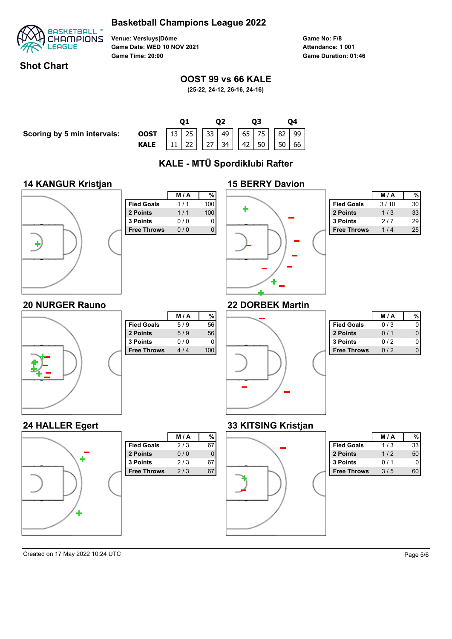

**Venue: Versluys|Dôme Game Date: WED 10 NOV 2021 Game Time: 20:00**

**Game No: F/8 Game Duration: 01:46 Attendance: 1 001**

### **Shot Chart**

### **OOST 99 vs 66 KALE**

**(25-22, 24-12, 26-16, 24-16)**

**Scoring by 5 min intervals:** 

|                                                                            |  |  |  |  | O3 |  |  |  |  |  |
|----------------------------------------------------------------------------|--|--|--|--|----|--|--|--|--|--|
| <b>OOST</b> 13 25 33 49 65 75 82 99<br><b>KALE</b> 11 22 27 34 42 50 50 66 |  |  |  |  |    |  |  |  |  |  |
|                                                                            |  |  |  |  |    |  |  |  |  |  |

**KALE - MTÜ Spordiklubi Rafter**

#### **14 KANGUR Kristjan**



|                    | M/A | %   |
|--------------------|-----|-----|
| <b>Fied Goals</b>  | 1/1 | 100 |
| 2 Points           | 1/1 | 100 |
| 3 Points           | 0/0 | 0   |
| <b>Free Throws</b> | 0/0 |     |
|                    |     |     |
|                    |     |     |
|                    |     |     |
|                    |     |     |
|                    |     |     |
|                    |     |     |



|                    | <b>M/A</b> |    |
|--------------------|------------|----|
| <b>Fied Goals</b>  | 3/10       | 30 |
| 2 Points           | 1/3        | 33 |
| <b>3 Points</b>    | 2/7        | 29 |
| <b>Free Throws</b> | 1 / 4      | 25 |

## **22 DORBEK Martin**



|                    | M/A   | %   |
|--------------------|-------|-----|
| <b>Fied Goals</b>  | 5/9   | 56  |
| 2 Points           | 5/9   | 56  |
| 3 Points           | 0 / 0 |     |
| <b>Free Throws</b> | 4/4   | 100 |
|                    |       |     |
|                    |       |     |
|                    |       |     |
|                    |       |     |
|                    |       |     |

**Fied Goals** 2/3 67 **2 Points** 0/0 0  **3 Points** 2 / 3 67 **Free Throws** 2/3 67

**M / A %**



|                    | <b>M/A</b> |  |
|--------------------|------------|--|
| <b>Fied Goals</b>  | 0/3        |  |
| 2 Points           | 0/1        |  |
| <b>3 Points</b>    | 012        |  |
| <b>Free Throws</b> | 012        |  |

### **33 KITSING Kristjan**



|                    | <b>M/A</b> |    |
|--------------------|------------|----|
| <b>Fied Goals</b>  | 1/3        | 33 |
| 2 Points           | 1/2        | 50 |
| <b>3 Points</b>    | 0/1        |    |
| <b>Free Throws</b> | 3/5        |    |

Created on 17 May 2022 10:24 UTC Page 5/6

J